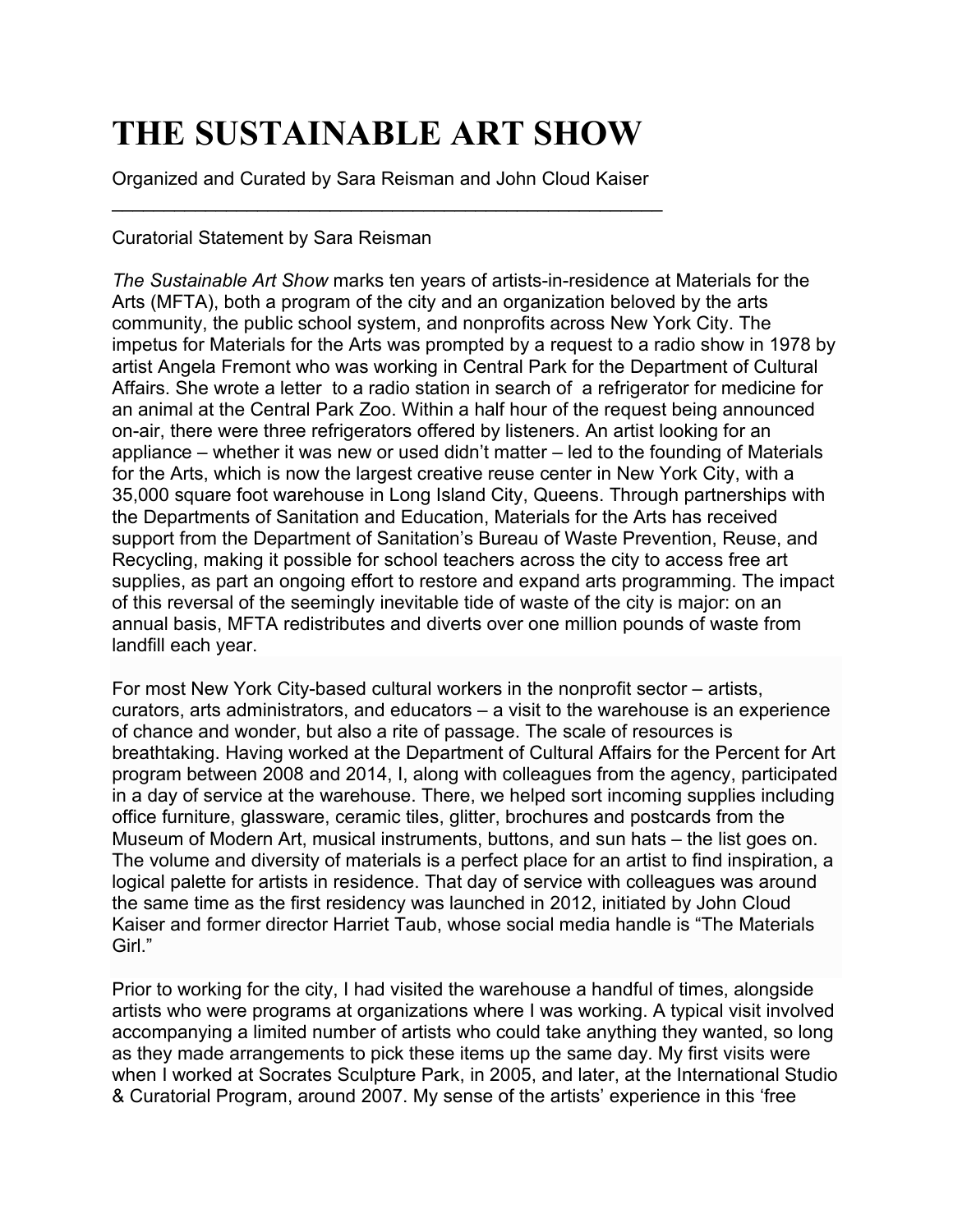## **THE SUSTAINABLE ART SHOW**

Organized and Curated by Sara Reisman and John Cloud Kaiser

\_\_\_\_\_\_\_\_\_\_\_\_\_\_\_\_\_\_\_\_\_\_\_\_\_\_\_\_\_\_\_\_\_\_\_\_\_\_\_\_\_\_\_\_\_\_\_\_\_\_\_\_\_

## Curatorial Statement by Sara Reisman

*The Sustainable Art Show* marks ten years of artists-in-residence at Materials for the Arts (MFTA), both a program of the city and an organization beloved by the arts community, the public school system, and nonprofits across New York City. The impetus for Materials for the Arts was prompted by a request to a radio show in 1978 by artist Angela Fremont who was working in Central Park for the Department of Cultural Affairs. She wrote a letter to a radio station in search of a refrigerator for medicine for an animal at the Central Park Zoo. Within a half hour of the request being announced on-air, there were three refrigerators offered by listeners. An artist looking for an appliance – whether it was new or used didn't matter – led to the founding of Materials for the Arts, which is now the largest creative reuse center in New York City, with a 35,000 square foot warehouse in Long Island City, Queens. Through partnerships with the Departments of Sanitation and Education, Materials for the Arts has received support from the Department of Sanitation's Bureau of Waste Prevention, Reuse, and Recycling, making it possible for school teachers across the city to access free art supplies, as part an ongoing effort to restore and expand arts programming. The impact of this reversal of the seemingly inevitable tide of waste of the city is major: on an annual basis, MFTA redistributes and diverts over one million pounds of waste from landfill each year.

For most New York City-based cultural workers in the nonprofit sector – artists, curators, arts administrators, and educators – a visit to the warehouse is an experience of chance and wonder, but also a rite of passage. The scale of resources is breathtaking. Having worked at the Department of Cultural Affairs for the Percent for Art program between 2008 and 2014, I, along with colleagues from the agency, participated in a day of service at the warehouse. There, we helped sort incoming supplies including office furniture, glassware, ceramic tiles, glitter, brochures and postcards from the Museum of Modern Art, musical instruments, buttons, and sun hats – the list goes on. The volume and diversity of materials is a perfect place for an artist to find inspiration, a logical palette for artists in residence. That day of service with colleagues was around the same time as the first residency was launched in 2012, initiated by John Cloud Kaiser and former director Harriet Taub, whose social media handle is "The Materials Girl."

Prior to working for the city, I had visited the warehouse a handful of times, alongside artists who were programs at organizations where I was working. A typical visit involved accompanying a limited number of artists who could take anything they wanted, so long as they made arrangements to pick these items up the same day. My first visits were when I worked at Socrates Sculpture Park, in 2005, and later, at the International Studio & Curatorial Program, around 2007. My sense of the artists' experience in this 'free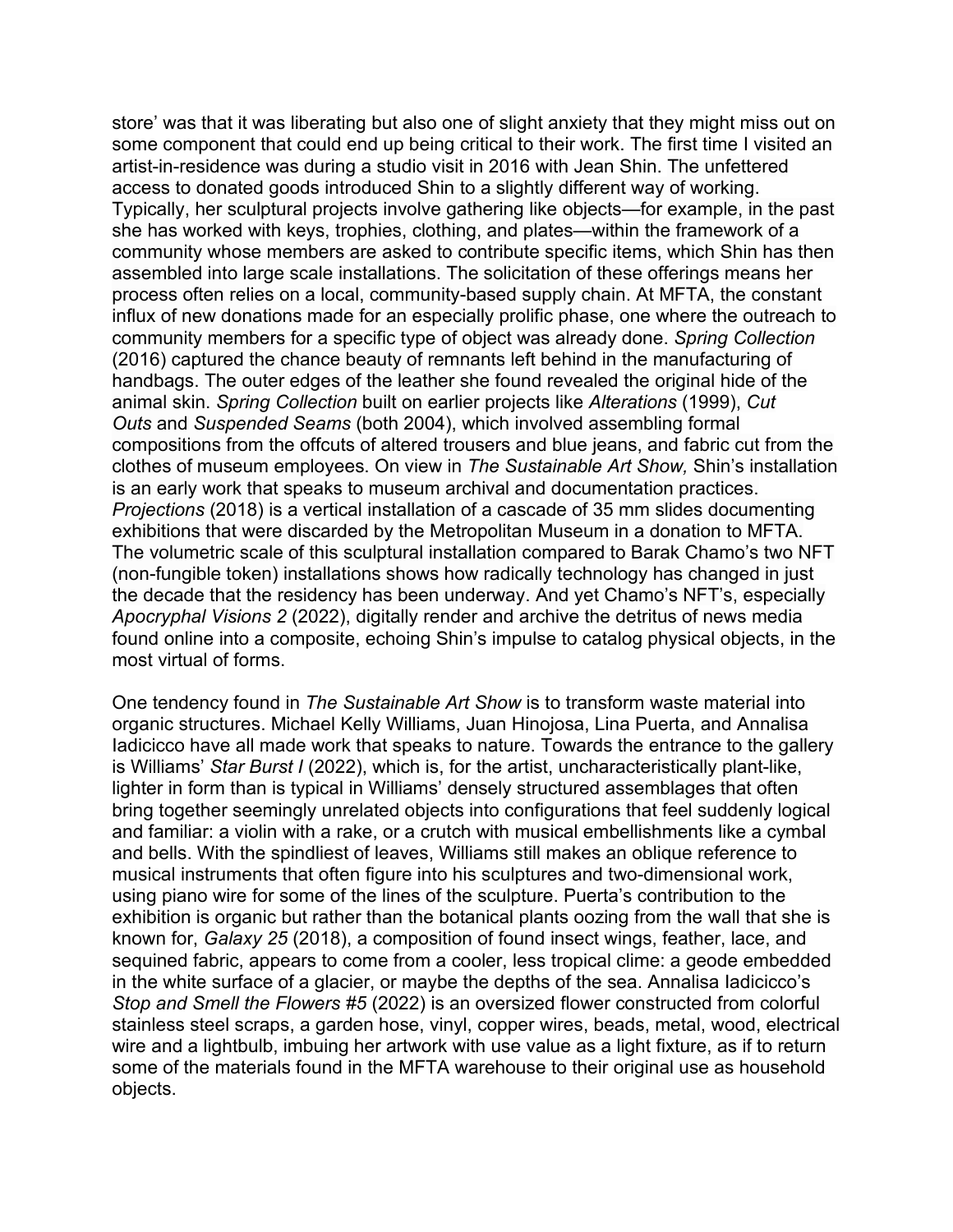store' was that it was liberating but also one of slight anxiety that they might miss out on some component that could end up being critical to their work. The first time I visited an artist-in-residence was during a studio visit in 2016 with Jean Shin. The unfettered access to donated goods introduced Shin to a slightly different way of working. Typically, her sculptural projects involve gathering like objects—for example, in the past she has worked with keys, trophies, clothing, and plates—within the framework of a community whose members are asked to contribute specific items, which Shin has then assembled into large scale installations. The solicitation of these offerings means her process often relies on a local, community-based supply chain. At MFTA, the constant influx of new donations made for an especially prolific phase, one where the outreach to community members for a specific type of object was already done. *Spring Collection* (2016) captured the chance beauty of remnants left behind in the manufacturing of handbags. The outer edges of the leather she found revealed the original hide of the animal skin. *Spring Collection* built on earlier projects like *Alterations* (1999), *Cut Outs* and *Suspended Seams* (both 2004), which involved assembling formal compositions from the offcuts of altered trousers and blue jeans, and fabric cut from the clothes of museum employees. On view in *The Sustainable Art Show,* Shin's installation is an early work that speaks to museum archival and documentation practices. *Projections* (2018) is a vertical installation of a cascade of 35 mm slides documenting exhibitions that were discarded by the Metropolitan Museum in a donation to MFTA. The volumetric scale of this sculptural installation compared to Barak Chamo's two NFT (non-fungible token) installations shows how radically technology has changed in just the decade that the residency has been underway. And yet Chamo's NFT's, especially *Apocryphal Visions 2* (2022), digitally render and archive the detritus of news media found online into a composite, echoing Shin's impulse to catalog physical objects, in the most virtual of forms.

One tendency found in *The Sustainable Art Show* is to transform waste material into organic structures. Michael Kelly Williams, Juan Hinojosa, Lina Puerta, and Annalisa Iadicicco have all made work that speaks to nature. Towards the entrance to the gallery is Williams' *Star Burst I* (2022), which is, for the artist, uncharacteristically plant-like, lighter in form than is typical in Williams' densely structured assemblages that often bring together seemingly unrelated objects into configurations that feel suddenly logical and familiar: a violin with a rake, or a crutch with musical embellishments like a cymbal and bells. With the spindliest of leaves, Williams still makes an oblique reference to musical instruments that often figure into his sculptures and two-dimensional work, using piano wire for some of the lines of the sculpture. Puerta's contribution to the exhibition is organic but rather than the botanical plants oozing from the wall that she is known for, *Galaxy 25* (2018), a composition of found insect wings, feather, lace, and sequined fabric, appears to come from a cooler, less tropical clime: a geode embedded in the white surface of a glacier, or maybe the depths of the sea. Annalisa Iadicicco's *Stop and Smell the Flowers #5* (2022) is an oversized flower constructed from colorful stainless steel scraps, a garden hose, vinyl, copper wires, beads, metal, wood, electrical wire and a lightbulb, imbuing her artwork with use value as a light fixture, as if to return some of the materials found in the MFTA warehouse to their original use as household objects.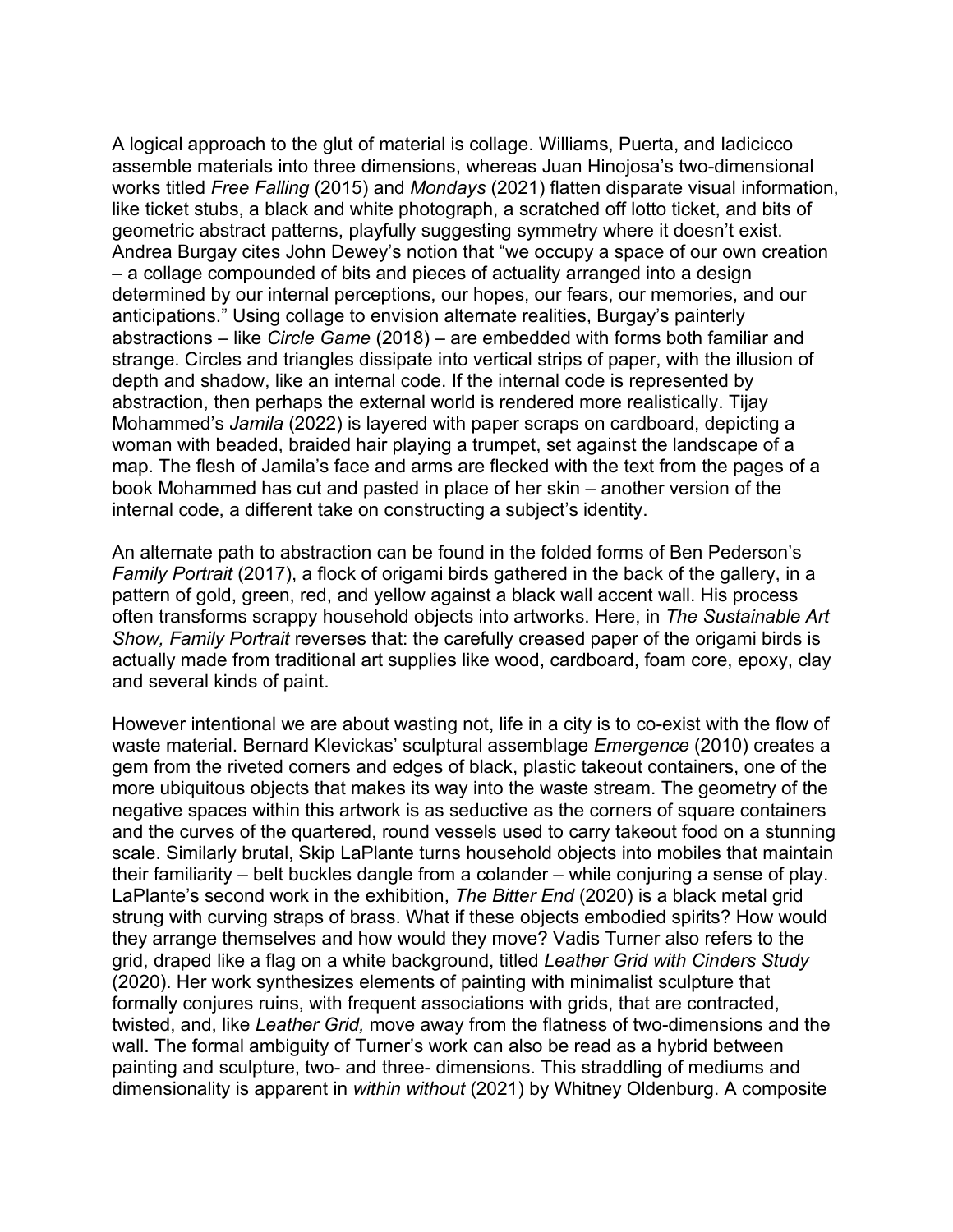A logical approach to the glut of material is collage. Williams, Puerta, and Iadicicco assemble materials into three dimensions, whereas Juan Hinojosa's two-dimensional works titled *Free Falling* (2015) and *Mondays* (2021) flatten disparate visual information, like ticket stubs, a black and white photograph, a scratched off lotto ticket, and bits of geometric abstract patterns, playfully suggesting symmetry where it doesn't exist. Andrea Burgay cites John Dewey's notion that "we occupy a space of our own creation – a collage compounded of bits and pieces of actuality arranged into a design determined by our internal perceptions, our hopes, our fears, our memories, and our anticipations." Using collage to envision alternate realities, Burgay's painterly abstractions – like *Circle Game* (2018) – are embedded with forms both familiar and strange. Circles and triangles dissipate into vertical strips of paper, with the illusion of depth and shadow, like an internal code. If the internal code is represented by abstraction, then perhaps the external world is rendered more realistically. Tijay Mohammed's *Jamila* (2022) is layered with paper scraps on cardboard, depicting a woman with beaded, braided hair playing a trumpet, set against the landscape of a map. The flesh of Jamila's face and arms are flecked with the text from the pages of a book Mohammed has cut and pasted in place of her skin – another version of the internal code, a different take on constructing a subject's identity.

An alternate path to abstraction can be found in the folded forms of Ben Pederson's *Family Portrait* (2017), a flock of origami birds gathered in the back of the gallery, in a pattern of gold, green, red, and yellow against a black wall accent wall. His process often transforms scrappy household objects into artworks. Here, in *The Sustainable Art Show, Family Portrait* reverses that: the carefully creased paper of the origami birds is actually made from traditional art supplies like wood, cardboard, foam core, epoxy, clay and several kinds of paint.

However intentional we are about wasting not, life in a city is to co-exist with the flow of waste material. Bernard Klevickas' sculptural assemblage *Emergence* (2010) creates a gem from the riveted corners and edges of black, plastic takeout containers, one of the more ubiquitous objects that makes its way into the waste stream. The geometry of the negative spaces within this artwork is as seductive as the corners of square containers and the curves of the quartered, round vessels used to carry takeout food on a stunning scale. Similarly brutal, Skip LaPlante turns household objects into mobiles that maintain their familiarity – belt buckles dangle from a colander – while conjuring a sense of play. LaPlante's second work in the exhibition, *The Bitter End* (2020) is a black metal grid strung with curving straps of brass. What if these objects embodied spirits? How would they arrange themselves and how would they move? Vadis Turner also refers to the grid, draped like a flag on a white background, titled *Leather Grid with Cinders Study*  (2020). Her work synthesizes elements of painting with minimalist sculpture that formally conjures ruins, with frequent associations with grids, that are contracted, twisted, and, like *Leather Grid,* move away from the flatness of two-dimensions and the wall. The formal ambiguity of Turner's work can also be read as a hybrid between painting and sculpture, two- and three- dimensions. This straddling of mediums and dimensionality is apparent in *within without* (2021) by Whitney Oldenburg. A composite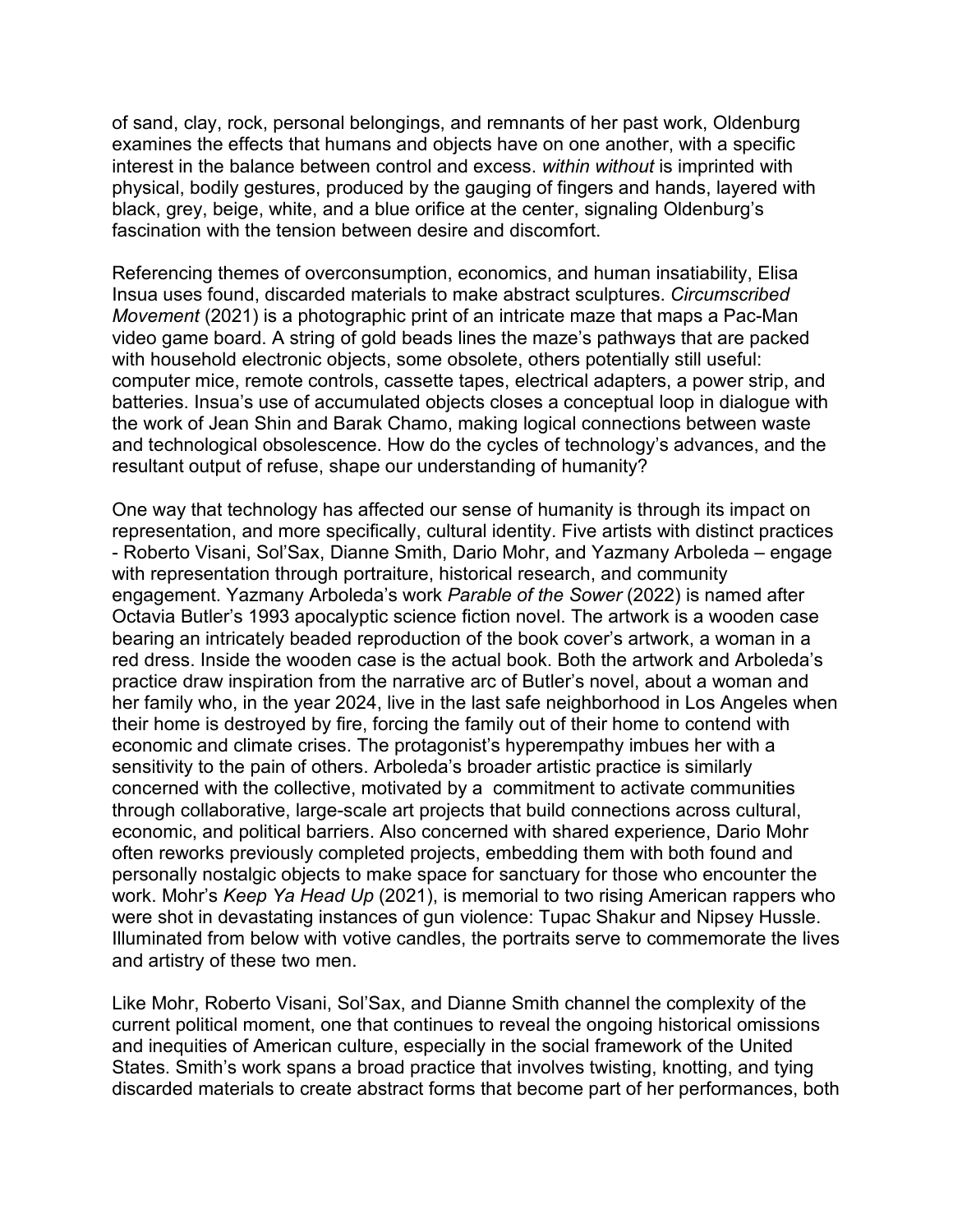of sand, clay, rock, personal belongings, and remnants of her past work, Oldenburg examines the effects that humans and objects have on one another, with a specific interest in the balance between control and excess. *within without* is imprinted with physical, bodily gestures, produced by the gauging of fingers and hands, layered with black, grey, beige, white, and a blue orifice at the center, signaling Oldenburg's fascination with the tension between desire and discomfort.

Referencing themes of overconsumption, economics, and human insatiability, Elisa Insua uses found, discarded materials to make abstract sculptures. *Circumscribed Movement* (2021) is a photographic print of an intricate maze that maps a Pac-Man video game board. A string of gold beads lines the maze's pathways that are packed with household electronic objects, some obsolete, others potentially still useful: computer mice, remote controls, cassette tapes, electrical adapters, a power strip, and batteries. Insua's use of accumulated objects closes a conceptual loop in dialogue with the work of Jean Shin and Barak Chamo, making logical connections between waste and technological obsolescence. How do the cycles of technology's advances, and the resultant output of refuse, shape our understanding of humanity?

One way that technology has affected our sense of humanity is through its impact on representation, and more specifically, cultural identity. Five artists with distinct practices - Roberto Visani, Sol'Sax, Dianne Smith, Dario Mohr, and Yazmany Arboleda – engage with representation through portraiture, historical research, and community engagement. Yazmany Arboleda's work *Parable of the Sower* (2022) is named after Octavia Butler's 1993 apocalyptic science fiction novel. The artwork is a wooden case bearing an intricately beaded reproduction of the book cover's artwork, a woman in a red dress. Inside the wooden case is the actual book. Both the artwork and Arboleda's practice draw inspiration from the narrative arc of Butler's novel, about a woman and her family who, in the year 2024, live in the last safe neighborhood in Los Angeles when their home is destroyed by fire, forcing the family out of their home to contend with economic and climate crises. The protagonist's hyperempathy imbues her with a sensitivity to the pain of others. Arboleda's broader artistic practice is similarly concerned with the collective, motivated by a commitment to activate communities through collaborative, large-scale art projects that build connections across cultural, economic, and political barriers. Also concerned with shared experience, Dario Mohr often reworks previously completed projects, embedding them with both found and personally nostalgic objects to make space for sanctuary for those who encounter the work. Mohr's *Keep Ya Head Up* (2021), is memorial to two rising American rappers who were shot in devastating instances of gun violence: Tupac Shakur and Nipsey Hussle. Illuminated from below with votive candles, the portraits serve to commemorate the lives and artistry of these two men.

Like Mohr, Roberto Visani, Sol'Sax, and Dianne Smith channel the complexity of the current political moment, one that continues to reveal the ongoing historical omissions and inequities of American culture, especially in the social framework of the United States. Smith's work spans a broad practice that involves twisting, knotting, and tying discarded materials to create abstract forms that become part of her performances, both